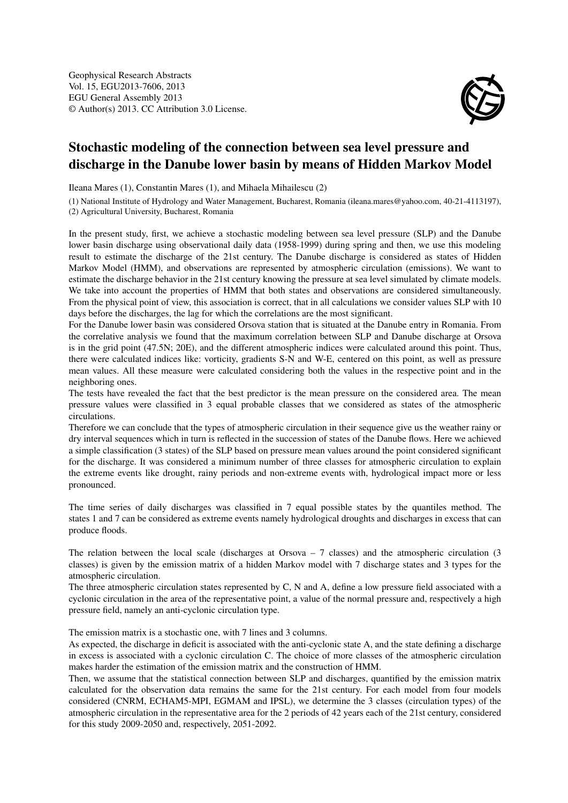

## Stochastic modeling of the connection between sea level pressure and discharge in the Danube lower basin by means of Hidden Markov Model

Ileana Mares (1), Constantin Mares (1), and Mihaela Mihailescu (2)

(1) National Institute of Hydrology and Water Management, Bucharest, Romania (ileana.mares@yahoo.com, 40-21-4113197), (2) Agricultural University, Bucharest, Romania

In the present study, first, we achieve a stochastic modeling between sea level pressure (SLP) and the Danube lower basin discharge using observational daily data (1958-1999) during spring and then, we use this modeling result to estimate the discharge of the 21st century. The Danube discharge is considered as states of Hidden Markov Model (HMM), and observations are represented by atmospheric circulation (emissions). We want to estimate the discharge behavior in the 21st century knowing the pressure at sea level simulated by climate models. We take into account the properties of HMM that both states and observations are considered simultaneously. From the physical point of view, this association is correct, that in all calculations we consider values SLP with 10 days before the discharges, the lag for which the correlations are the most significant.

For the Danube lower basin was considered Orsova station that is situated at the Danube entry in Romania. From the correlative analysis we found that the maximum correlation between SLP and Danube discharge at Orsova is in the grid point (47.5N; 20E), and the different atmospheric indices were calculated around this point. Thus, there were calculated indices like: vorticity, gradients S-N and W-E, centered on this point, as well as pressure mean values. All these measure were calculated considering both the values in the respective point and in the neighboring ones.

The tests have revealed the fact that the best predictor is the mean pressure on the considered area. The mean pressure values were classified in 3 equal probable classes that we considered as states of the atmospheric circulations.

Therefore we can conclude that the types of atmospheric circulation in their sequence give us the weather rainy or dry interval sequences which in turn is reflected in the succession of states of the Danube flows. Here we achieved a simple classification (3 states) of the SLP based on pressure mean values around the point considered significant for the discharge. It was considered a minimum number of three classes for atmospheric circulation to explain the extreme events like drought, rainy periods and non-extreme events with, hydrological impact more or less pronounced.

The time series of daily discharges was classified in 7 equal possible states by the quantiles method. The states 1 and 7 can be considered as extreme events namely hydrological droughts and discharges in excess that can produce floods.

The relation between the local scale (discharges at Orsova – 7 classes) and the atmospheric circulation (3 classes) is given by the emission matrix of a hidden Markov model with 7 discharge states and 3 types for the atmospheric circulation.

The three atmospheric circulation states represented by C, N and A, define a low pressure field associated with a cyclonic circulation in the area of the representative point, a value of the normal pressure and, respectively a high pressure field, namely an anti-cyclonic circulation type.

The emission matrix is a stochastic one, with 7 lines and 3 columns.

As expected, the discharge in deficit is associated with the anti-cyclonic state A, and the state defining a discharge in excess is associated with a cyclonic circulation C. The choice of more classes of the atmospheric circulation makes harder the estimation of the emission matrix and the construction of HMM.

Then, we assume that the statistical connection between SLP and discharges, quantified by the emission matrix calculated for the observation data remains the same for the 21st century. For each model from four models considered (CNRM, ECHAM5-MPI, EGMAM and IPSL), we determine the 3 classes (circulation types) of the atmospheric circulation in the representative area for the 2 periods of 42 years each of the 21st century, considered for this study 2009-2050 and, respectively, 2051-2092.